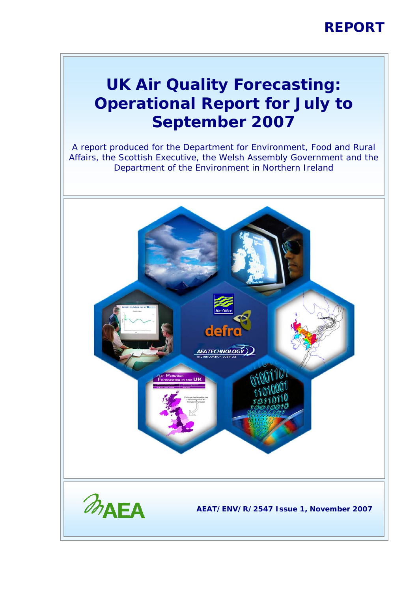### **REPORT**

### **UK Air Quality Forecasting: Operational Report for July to September 2007**

A report produced for the Department for Environment, Food and Rural Affairs, the Scottish Executive, the Welsh Assembly Government and the Department of the Environment in Northern Ireland

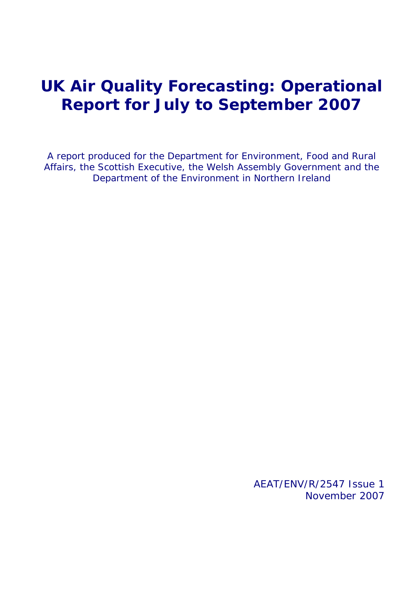### **UK Air Quality Forecasting: Operational Report for July to September 2007**

A report produced for the Department for Environment, Food and Rural Affairs, the Scottish Executive, the Welsh Assembly Government and the Department of the Environment in Northern Ireland

> AEAT/ENV/R/2547 Issue 1 November 2007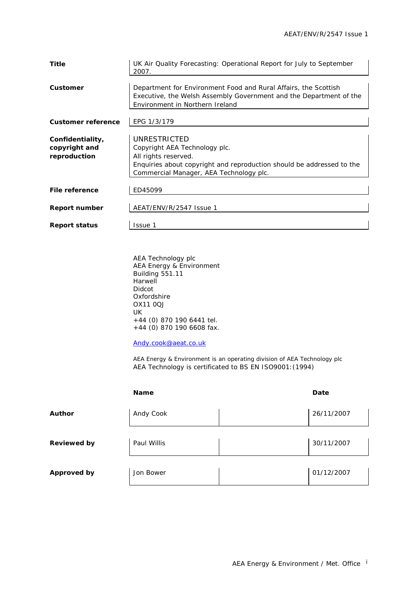| Title                                             | UK Air Quality Forecasting: Operational Report for July to September<br>2007.                                                                                                             |
|---------------------------------------------------|-------------------------------------------------------------------------------------------------------------------------------------------------------------------------------------------|
| Customer                                          | Department for Environment Food and Rural Affairs, the Scottish<br>Executive, the Welsh Assembly Government and the Department of the<br>Environment in Northern Ireland                  |
| <b>Customer reference</b>                         | EPG 1/3/179                                                                                                                                                                               |
| Confidentiality,<br>copyright and<br>reproduction | UNRESTRICTED<br>Copyright AEA Technology plc.<br>All rights reserved.<br>Enquiries about copyright and reproduction should be addressed to the<br>Commercial Manager, AEA Technology plc. |
| File reference                                    | ED45099                                                                                                                                                                                   |
| Report number                                     | AEAT/ENV/R/2547 Issue 1                                                                                                                                                                   |
| <b>Report status</b>                              | Issue 1                                                                                                                                                                                   |

AEA Technology plc AEA Energy & Environment Building 551.11 Harwell Didcot Oxfordshire OX11 0QJ UK +44 (0) 870 190 6441 tel. +44 (0) 870 190 6608 fax.

#### [Andy.cook@aeat.co.uk](mailto:Jaume.targa@aeat.co.uk)

AEA Energy & Environment is an operating division of AEA Technology plc AEA Technology is certificated to BS EN ISO9001:(1994)

|                    | <b>Name</b> | Date       |
|--------------------|-------------|------------|
| <b>Author</b>      | Andy Cook   | 26/11/2007 |
| <b>Reviewed by</b> | Paul Willis | 30/11/2007 |
| <b>Approved by</b> | Jon Bower   | 01/12/2007 |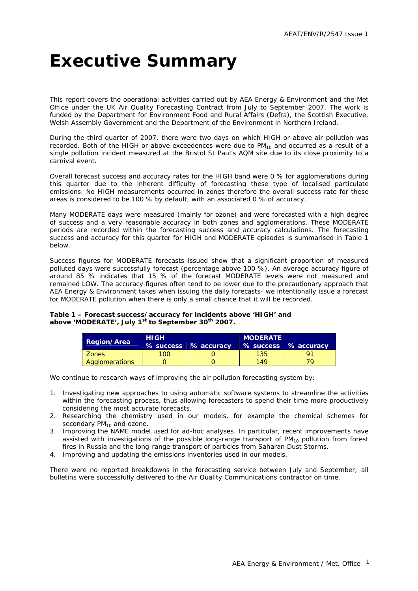## <span id="page-3-0"></span>**Executive Summary**

This report covers the operational activities carried out by AEA Energy & Environment and the Met Office under the UK Air Quality Forecasting Contract from July to September 2007. The work is funded by the Department for Environment Food and Rural Affairs (Defra), the Scottish Executive, Welsh Assembly Government and the Department of the Environment in Northern Ireland.

During the third quarter of 2007, there were two days on which HIGH or above air pollution was recorded. Both of the HIGH or above exceedences were due to  $PM_{10}$  and occurred as a result of a single pollution incident measured at the Bristol St Paul's AQM site due to its close proximity to a carnival event.

Overall forecast success and accuracy rates for the HIGH band were 0 % for agglomerations during this quarter due to the inherent difficulty of forecasting these type of localised particulate emissions. No HIGH measurements occurred in zones therefore the overall success rate for these areas is considered to be 100 % by default, with an associated 0 % of accuracy.

Many MODERATE days were measured (mainly for ozone) and were forecasted with a high degree of success and a very reasonable accuracy in both zones and agglomerations. These MODERATE periods are recorded within the forecasting success and accuracy calculations. The forecasting success and accuracy for this quarter for HIGH and MODERATE episodes is summarised in Table 1 below.

Success figures for MODERATE forecasts issued show that a significant proportion of measured polluted days were successfully forecast (percentage above 100 %). An average accuracy figure of around 85 % indicates that 15 % of the forecast MODERATE levels were not measured and remained LOW. The accuracy figures often tend to be lower due to the precautionary approach that AEA Energy & Environment takes when issuing the daily forecasts- we intentionally issue a forecast for MODERATE pollution when there is only a small chance that it will be recorded.

#### **Table 1 – Forecast success/accuracy for incidents above 'HIGH' and above 'MODERATE', July 1st to September 30th 2007.**

| <b>Region/Area</b>    | <b>HIGH</b>   |                      | <b>MODERATE</b> |                      |  |  |  |  |
|-----------------------|---------------|----------------------|-----------------|----------------------|--|--|--|--|
|                       |               | % success % accuracy |                 | % success % accuracy |  |  |  |  |
| Zones                 | $^{\circ}$ OO |                      | 135             | o                    |  |  |  |  |
| <b>Agglomerations</b> |               |                      | 149             |                      |  |  |  |  |

We continue to research ways of improving the air pollution forecasting system by:

- 1. Investigating new approaches to using automatic software systems to streamline the activities within the forecasting process, thus allowing forecasters to spend their time more productively considering the most accurate forecasts.
- 2. Researching the chemistry used in our models, for example the chemical schemes for secondary  $PM_{10}$  and ozone.
- 3. Improving the NAME model used for ad-hoc analyses. In particular, recent improvements have assisted with investigations of the possible long-range transport of  $PM_{10}$  pollution from forest fires in Russia and the long-range transport of particles from Saharan Dust Storms.
- 4. Improving and updating the emissions inventories used in our models.

There were no reported breakdowns in the forecasting service between July and September; all bulletins were successfully delivered to the Air Quality Communications contractor on time.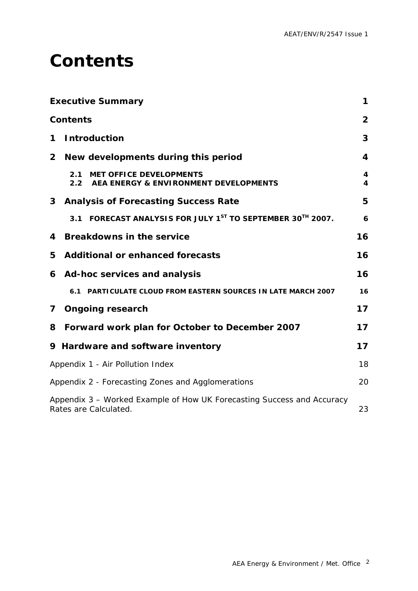### <span id="page-4-0"></span>**Contents**

|                | <b>Executive Summary</b>                                                                        | 1              |
|----------------|-------------------------------------------------------------------------------------------------|----------------|
|                | <b>Contents</b>                                                                                 | $\overline{2}$ |
| 1              | <b>Introduction</b>                                                                             | 3              |
| $\overline{2}$ | New developments during this period                                                             | 4              |
|                | <b>MET OFFICE DEVELOPMENTS</b><br>2.1<br>2.2<br>AEA ENERGY & ENVIRONMENT DEVELOPMENTS           | 4<br>4         |
| 3              | <b>Analysis of Forecasting Success Rate</b>                                                     | 5              |
|                | FORECAST ANALYSIS FOR JULY 1ST TO SEPTEMBER 30TH 2007.<br>3.1                                   | 6              |
| 4              | <b>Breakdowns in the service</b>                                                                | 16             |
| 5              | <b>Additional or enhanced forecasts</b>                                                         | 16             |
| 6              | Ad-hoc services and analysis                                                                    | 16             |
|                | PARTICULATE CLOUD FROM EASTERN SOURCES IN LATE MARCH 2007<br>6.1                                | 16             |
| $\mathbf{7}$   | <b>Ongoing research</b>                                                                         | 17             |
| 8              | Forward work plan for October to December 2007                                                  | 17             |
|                | 9 Hardware and software inventory                                                               | 17             |
|                | Appendix 1 - Air Pollution Index                                                                | 18             |
|                | Appendix 2 - Forecasting Zones and Agglomerations                                               | 20             |
|                | Appendix 3 - Worked Example of How UK Forecasting Success and Accuracy<br>Rates are Calculated. | 23             |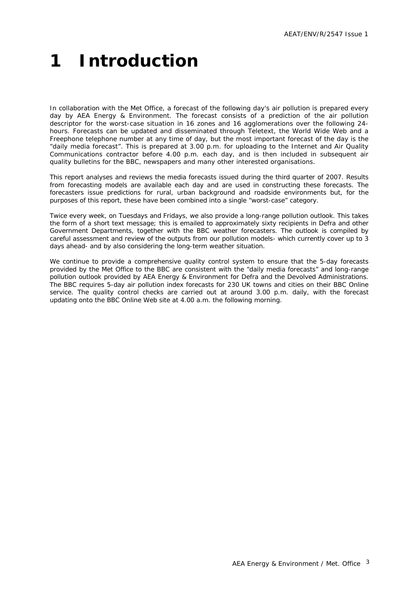# <span id="page-5-0"></span>**1 Introduction**

In collaboration with the Met Office, a forecast of the following day's air pollution is prepared every day by AEA Energy & Environment. The forecast consists of a prediction of the air pollution descriptor for the worst-case situation in 16 zones and 16 agglomerations over the following 24 hours. Forecasts can be updated and disseminated through Teletext, the World Wide Web and a Freephone telephone number at any time of day, but the most important forecast of the day is the "daily media forecast". This is prepared at 3.00 p.m. for uploading to the Internet and Air Quality Communications contractor before 4.00 p.m. each day, and is then included in subsequent air quality bulletins for the BBC, newspapers and many other interested organisations.

This report analyses and reviews the media forecasts issued during the third quarter of 2007. Results from forecasting models are available each day and are used in constructing these forecasts. The forecasters issue predictions for rural, urban background and roadside environments but, for the purposes of this report, these have been combined into a single "worst-case" category.

Twice every week, on Tuesdays and Fridays, we also provide a long-range pollution outlook. This takes the form of a short text message; this is emailed to approximately sixty recipients in Defra and other Government Departments, together with the BBC weather forecasters. The outlook is compiled by careful assessment and review of the outputs from our pollution models- which currently cover up to 3 days ahead- and by also considering the long-term weather situation.

We continue to provide a comprehensive quality control system to ensure that the 5-day forecasts provided by the Met Office to the BBC are consistent with the "daily media forecasts" and long-range pollution outlook provided by AEA Energy & Environment for Defra and the Devolved Administrations. The BBC requires 5-day air pollution index forecasts for 230 UK towns and cities on their BBC Online service. The quality control checks are carried out at around 3.00 p.m. daily, with the forecast updating onto the BBC Online Web site at 4.00 a.m. the following morning.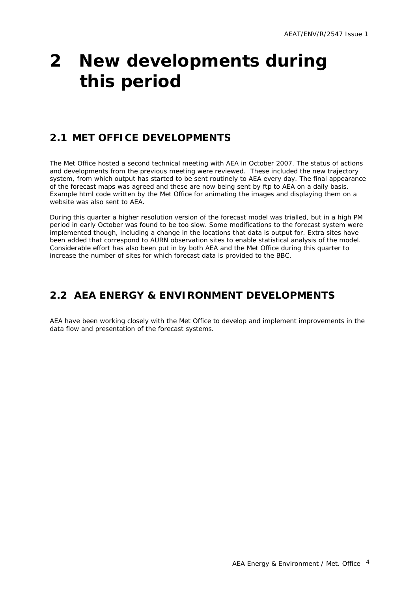## <span id="page-6-0"></span>**2 New developments during this period**

### **2.1 MET OFFICE DEVELOPMENTS**

The Met Office hosted a second technical meeting with AEA in October 2007. The status of actions and developments from the previous meeting were reviewed. These included the new trajectory system, from which output has started to be sent routinely to AEA every day. The final appearance of the forecast maps was agreed and these are now being sent by ftp to AEA on a daily basis. Example html code written by the Met Office for animating the images and displaying them on a website was also sent to AEA.

During this quarter a higher resolution version of the forecast model was trialled, but in a high PM period in early October was found to be too slow. Some modifications to the forecast system were implemented though, including a change in the locations that data is output for. Extra sites have been added that correspond to AURN observation sites to enable statistical analysis of the model. Considerable effort has also been put in by both AEA and the Met Office during this quarter to increase the number of sites for which forecast data is provided to the BBC.

### **2.2 AEA ENERGY & ENVIRONMENT DEVELOPMENTS**

AEA have been working closely with the Met Office to develop and implement improvements in the data flow and presentation of the forecast systems.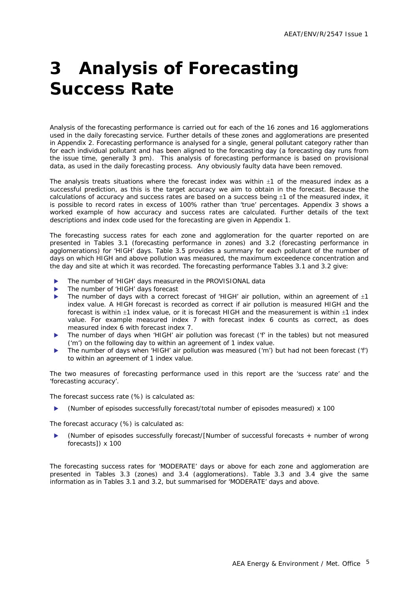## <span id="page-7-0"></span>**3 Analysis of Forecasting Success Rate**

Analysis of the forecasting performance is carried out for each of the 16 zones and 16 agglomerations used in the daily forecasting service. Further details of these zones and agglomerations are presented in Appendix 2. Forecasting performance is analysed for a single, general pollutant category rather than for each individual pollutant and has been aligned to the forecasting day (a forecasting day runs from the issue time, generally 3 pm). This analysis of forecasting performance is based on provisional data, as used in the daily forecasting process. Any obviously faulty data have been removed.

The analysis treats situations where the forecast index was within  $\pm 1$  of the measured index as a successful prediction, as this is the target accuracy we aim to obtain in the forecast. Because the calculations of accuracy and success rates are based on a success being  $\pm 1$  of the measured index, it is possible to record rates in excess of 100% rather than 'true' percentages. Appendix 3 shows a worked example of how accuracy and success rates are calculated. Further details of the text descriptions and index code used for the forecasting are given in Appendix 1.

The forecasting success rates for each zone and agglomeration for the quarter reported on are presented in Tables 3.1 (forecasting performance in zones) and 3.2 (forecasting performance in agglomerations) for 'HIGH' days. Table 3.5 provides a summary for each pollutant of the number of days on which HIGH and above pollution was measured, the maximum exceedence concentration and the day and site at which it was recorded. The forecasting performance Tables 3.1 and 3.2 give:

- The number of 'HIGH' days measured in the PROVISIONAL data
- The number of 'HIGH' days forecast
- The number of days with a correct forecast of 'HIGH' air pollution, within an agreement of  $\pm 1$ index value. A HIGH forecast is recorded as correct if air pollution is measured HIGH and the forecast is within ±1 index value, or it is forecast HIGH and the measurement is within ±1 index value. For example measured index 7 with forecast index 6 counts as correct, as does measured index 6 with forecast index 7.
- The number of days when 'HIGH' air pollution was forecast ('f' in the tables) but not measured ('m') on the following day to within an agreement of 1 index value.
- The number of days when 'HIGH' air pollution was measured ('m') but had not been forecast ('f') to within an agreement of 1 index value.

The two measures of forecasting performance used in this report are the 'success rate' and the 'forecasting accuracy'.

The forecast success rate (%) is calculated as:

(Number of episodes successfully forecast/total number of episodes measured) x 100

The forecast accuracy (%) is calculated as:

(Number of episodes successfully forecast/[Number of successful forecasts + number of wrong forecasts]) x 100

The forecasting success rates for 'MODERATE' days or above for each zone and agglomeration are presented in Tables 3.3 (zones) and 3.4 (agglomerations). Table 3.3 and 3.4 give the same information as in Tables 3.1 and 3.2, but summarised for 'MODERATE' days and above.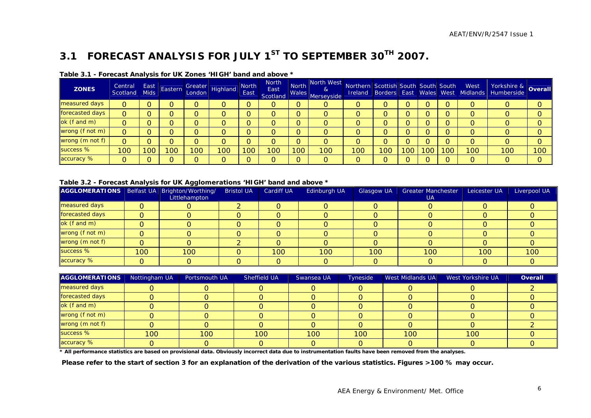### **3.1 FORECAST ANALYSIS FOR JULY 1ST TO SEPTEMBER 30TH 2007.**

| <b>ZONES</b>    | Central<br>Scotland | East<br><b>Mids</b> | Eastern |     | Greater<br>London Highland | <b>North</b><br>East | <b>North</b><br>East<br>Scotland | <b>Wales</b> | North North West<br>&<br>Merseyside | Northern Scottish South South South |     |     |     |    | West<br><b>Ireland Borders East Wales West Midlands</b> | Yorkshire & <b>Overall</b> |          |
|-----------------|---------------------|---------------------|---------|-----|----------------------------|----------------------|----------------------------------|--------------|-------------------------------------|-------------------------------------|-----|-----|-----|----|---------------------------------------------------------|----------------------------|----------|
| measured days   | 0                   |                     |         |     |                            |                      | O                                |              | O                                   |                                     |     |     | ∩   |    |                                                         |                            |          |
| forecasted days | 0                   |                     |         |     |                            |                      | O                                |              | 0                                   |                                     |     |     |     |    |                                                         |                            |          |
| ok (f and m)    |                     |                     |         |     |                            |                      | 0                                |              | 0                                   |                                     |     |     |     |    |                                                         |                            |          |
| wrong (f not m) | 0                   |                     |         |     |                            |                      |                                  |              |                                     |                                     |     |     |     |    |                                                         |                            |          |
| wrong (m not f) | 0                   |                     |         |     |                            |                      | O                                |              |                                     |                                     |     |     |     |    |                                                         |                            |          |
| success %       | 100                 | 100                 | l OC    | 100 | 00                         | 100                  | 100                              | 100          | 100                                 | 100                                 | 100 | 100 | 100 | 00 | 100                                                     | 100                        | 100      |
| accuracy %      |                     |                     |         |     |                            |                      | O                                | $\Omega$     | O                                   |                                     |     |     | ∩   |    |                                                         | O                          | $\Omega$ |

#### **Table 3.1 - Forecast Analysis for UK Zones 'HIGH' band and above \***

#### **Table 3.2 - Forecast Analysis for UK Agglomerations 'HIGH' band and above \***

| AGGLOMERATIONS   Belfast UA   Brighton/Worthing/ |     | --<br>Littlehampton | <b>Bristol UA</b> | <b>Cardiff UA</b> | Edinburgh UA | <b>Glasgow UA</b> | <b>Greater Manchester</b><br><b>UA</b> | Leicester UA | Liverpool UA |
|--------------------------------------------------|-----|---------------------|-------------------|-------------------|--------------|-------------------|----------------------------------------|--------------|--------------|
| measured days                                    |     |                     |                   |                   |              |                   |                                        |              |              |
| forecasted days                                  | Ω   |                     |                   |                   |              |                   |                                        |              |              |
| ok (f and m)                                     |     |                     |                   |                   |              |                   |                                        |              |              |
| wrong (f not m)                                  |     |                     |                   |                   |              |                   |                                        |              |              |
| wrong (m not f)                                  |     |                     |                   |                   |              |                   |                                        |              |              |
| success %                                        | 100 | 100                 |                   | 100               | 100          | 100               | 100                                    | 100          | 100          |
| accuracy %                                       |     |                     |                   |                   |              |                   |                                        |              |              |

| <b>AGGLOMERATIONS</b> | Nottingham UA | Portsmouth UA | Sheffield UA | Swansea UA | Tyneside | West Midlands UA | West Yorkshire UA | Overall |
|-----------------------|---------------|---------------|--------------|------------|----------|------------------|-------------------|---------|
| measured days         |               |               |              |            |          |                  |                   |         |
| forecasted days       |               |               |              |            |          |                  |                   |         |
| ok (f and m)          |               |               |              |            |          |                  |                   |         |
| wrong (f not m)       |               |               |              |            |          |                  |                   |         |
| wrong (m not f)       |               |               |              |            |          |                  |                   |         |
| success %             | 100           | 100           | 100          | 100        | 100      | 100              | 100               |         |
| accuracy %            |               |               |              |            |          |                  |                   |         |

**\* All performance statistics are based on provisional data. Obviously incorrect data due to instrumentation faults have been removed from the analyses.** 

<span id="page-8-0"></span> **Please refer to the start of section 3 for an explanation of the derivation of the various statistics. Figures >100 % may occur.**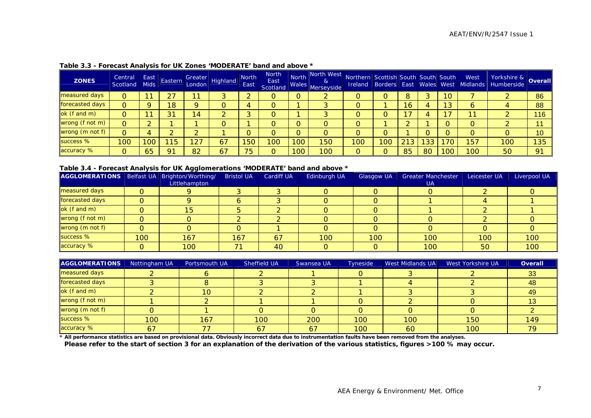| <b>ZONES</b>         | Central<br>Scotland | East<br><b>Mids</b> | Eastern        | London         | <b>Arn Greater</b> Highland | <b>North</b><br>East | <b>North</b><br>East<br>Scotland | <b>North</b><br>Wales | North West<br>$\alpha$<br>Merseyside | Northern Scottish South South South<br><b>Ireland</b> |     |    |    |                 | West<br>Borders East Wales West Midlands | Yorkshire & Overall<br>Humberside |     |
|----------------------|---------------------|---------------------|----------------|----------------|-----------------------------|----------------------|----------------------------------|-----------------------|--------------------------------------|-------------------------------------------------------|-----|----|----|-----------------|------------------------------------------|-----------------------------------|-----|
| <b>measured days</b> | 0                   | 1                   | 27             | $-1$           |                             |                      | O                                |                       |                                      |                                                       |     |    | 2  | 10 <sup>°</sup> |                                          |                                   | 86  |
| forecasted days      | O                   |                     | 18             |                |                             |                      | 0                                |                       |                                      |                                                       |     | 6  |    | 13              | O                                        |                                   | 88  |
| ok (f and m)         |                     |                     | 31             | $\overline{4}$ |                             |                      |                                  |                       | ົ                                    |                                                       |     |    |    |                 | 11                                       |                                   | 116 |
| wrong (f not m)      | 0                   |                     |                |                |                             |                      | O                                |                       |                                      |                                                       |     |    |    |                 |                                          |                                   | 44  |
| wrong (m not f)      | 0                   |                     |                |                |                             |                      | 0                                |                       | 0                                    |                                                       |     |    |    |                 |                                          | O                                 | 10  |
| success %            | 100                 | 100                 | 15             | $\sqrt{27}$    | 67                          | 150                  | 100                              | 100                   | 150                                  | 100                                                   | 100 | 21 | 33 | 70              | 157                                      | 100                               | 135 |
| accuracy %           | 0                   | 65                  | Q <sub>1</sub> | 82             | 67                          | 75                   | O                                | 100                   | 100                                  | $\Omega$                                              |     | 85 | 80 | 100             | 100                                      | 50                                | 91  |

#### **Table 3.3 - Forecast Analysis for UK Zones 'MODERATE' band and above \***

#### **Table 3.4 - Forecast Analysis for UK Agglomerations 'MODERATE' band and above \***

| AGGLOMERATIONS   Belfast UA   Brighton/Worthing/ |     |               | <b>Bristol UA</b> | Cardiff UA | Edinburgh UA | <b>Glasgow UA</b> | <b>Greater Manchester</b> | Leicester UA | Liverpool UA |
|--------------------------------------------------|-----|---------------|-------------------|------------|--------------|-------------------|---------------------------|--------------|--------------|
|                                                  |     | Littlehampton |                   |            |              |                   | <b>UA</b>                 |              |              |
| measured days                                    |     |               |                   |            |              |                   |                           |              |              |
| forecasted days                                  |     |               |                   |            |              |                   |                           |              |              |
| ok (f and m)                                     |     | 15            |                   |            |              |                   |                           |              |              |
| wrong (f not m)                                  |     |               |                   |            |              |                   |                           |              |              |
| wrong (m not f)                                  |     |               |                   |            |              |                   |                           |              |              |
| success %                                        | 100 | 167           | 167               | 67         | 100          | 100               | 100                       | 100          | 100          |
| accuracy %                                       |     | 100           |                   | 40         |              |                   | 100                       | 50           | 100          |

| <b>AGGLOMERATIONS</b> | Nottingham UA | Portsmouth UA | Sheffield UA | Swansea UA | <b>Tyneside</b>  | West Midlands UA | West Yorkshire UA | Overall |
|-----------------------|---------------|---------------|--------------|------------|------------------|------------------|-------------------|---------|
| measured days         |               |               |              |            |                  |                  |                   | 33      |
| forecasted days       |               |               |              |            |                  |                  |                   | 48      |
| ok (f and m)          |               | 10            |              |            |                  |                  |                   | 49      |
| wrong (f not m)       |               |               |              |            |                  |                  |                   |         |
| wrong (m not f)       |               |               |              |            |                  |                  |                   |         |
| success %             | 100           | 167           | 100          | 200        | 100              | 100              | 150               | 149     |
| accuracy %            | 67            |               | 67           | 67         | 100 <sub>1</sub> | 60               | 100               |         |

**\* All performance statistics are based on provisional data. Obviously incorrect data due to instrumentation faults have been removed from the analyses.** 

**Please refer to the start of section 3 for an explanation of the derivation of the various statistics, figures >100 % may occur.**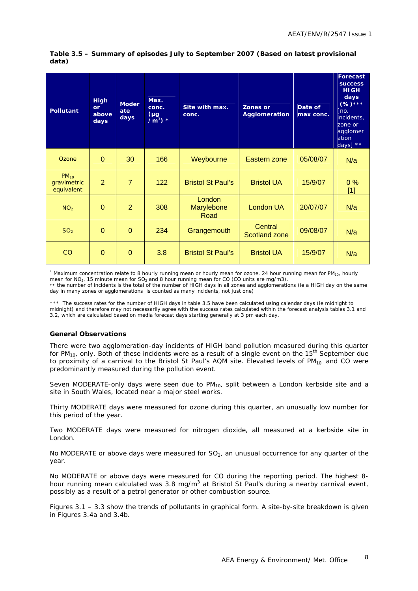| <b>Pollutant</b>                       | <b>High</b><br>or<br>above<br>days | <b>Moder</b><br>ate<br>days | Max.<br>conc.<br>(µg<br>$/m^3$ ) * | Site with max.<br>conc.      | <b>Zones or</b><br>Agglomeration | Date of<br>max conc. | <b>Forecast</b><br><b>SUCCESS</b><br><b>HIGH</b><br>days<br>$(%)****$<br>[no.]<br>incidents,<br>zone or<br>agglomer<br>ation<br>days] $**$ |
|----------------------------------------|------------------------------------|-----------------------------|------------------------------------|------------------------------|----------------------------------|----------------------|--------------------------------------------------------------------------------------------------------------------------------------------|
| Ozone                                  | $\Omega$                           | 30                          | 166                                | Weybourne                    | Eastern zone                     | 05/08/07             | N/a                                                                                                                                        |
| $PM_{10}$<br>gravimetric<br>equivalent | $\overline{2}$                     | $\overline{7}$              | 122                                | <b>Bristol St Paul's</b>     | <b>Bristol UA</b>                | 15/9/07              | $0\%$<br>$[1]$                                                                                                                             |
| NO <sub>2</sub>                        | $\Omega$                           | $\overline{2}$              | 308                                | London<br>Marylebone<br>Road | London UA                        | 20/07/07             | N/a                                                                                                                                        |
| SO <sub>2</sub>                        | $\Omega$                           | $\Omega$                    | 234                                | Grangemouth                  | Central<br><b>Scotland zone</b>  | 09/08/07             | N/a                                                                                                                                        |
| CO                                     | $\Omega$                           | $\Omega$                    | 3.8                                | <b>Bristol St Paul's</b>     | <b>Bristol UA</b>                | 15/9/07              | N/a                                                                                                                                        |

#### **Table 3.5 – Summary of episodes July to September 2007 (Based on latest provisional data)**

\* Maximum concentration relate to 8 hourly running mean or hourly mean for ozone, 24 hour running mean for PM<sub>10</sub>, hourly mean for  $NO<sub>2</sub>$ , 15 minute mean for  $SO<sub>2</sub>$  and 8 hour running mean for CO (CO units are mg/m3). \*\* the number of incidents is the total of the number of HIGH days in all zones and agglomerations (ie a HIGH day on the same day in many zones or agglomerations is counted as many incidents, not just one)

\*\*\* The success rates for the number of HIGH days in table 3.5 have been calculated using calendar days (ie midnight to midnight) and therefore may not necessarily agree with the success rates calculated within the forecast analysis tables 3.1 and 3.2, which are calculated based on media forecast days starting generally at 3 pm each day.

#### **General Observations**

There were two agglomeration-day incidents of HIGH band pollution measured during this quarter for PM<sub>10</sub>, only. Both of these incidents were as a result of a single event on the 15<sup>th</sup> September due to proximity of a carnival to the Bristol St Paul's AQM site. Elevated levels of  $PM_{10}$  and CO were predominantly measured during the pollution event.

Seven MODERATE-only days were seen due to  $PM_{10}$ , split between a London kerbside site and a site in South Wales, located near a major steel works.

Thirty MODERATE days were measured for ozone during this quarter, an unusually low number for this period of the year.

Two MODERATE days were measured for nitrogen dioxide, all measured at a kerbside site in London.

No MODERATE or above days were measured for  $SO<sub>2</sub>$ , an unusual occurrence for any quarter of the year.

No MODERATE or above days were measured for CO during the reporting period. The highest 8 hour running mean calculated was 3.8 mg/m<sup>3</sup> at Bristol St Paul's during a nearby carnival event, possibly as a result of a petrol generator or other combustion source.

Figures 3.1 – 3.3 show the trends of pollutants in graphical form. A site-by-site breakdown is given in Figures 3.4a and 3.4b.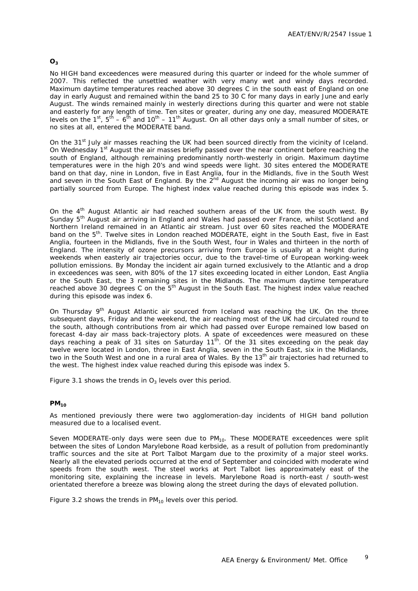#### **O3**

No HIGH band exceedences were measured during this quarter or indeed for the whole summer of 2007. This reflected the unsettled weather with very many wet and windy days recorded. Maximum daytime temperatures reached above 30 degrees C in the south east of England on one day in early August and remained within the band 25 to 30 C for many days in early June and early August. The winds remained mainly in westerly directions during this quarter and were not stable and easterly for any length of time. Ten sites or greater, during any one day, measured MODERATE levels on the 1<sup>st</sup>,  $5<sup>th</sup> - 6<sup>th</sup>$  and 10<sup>th</sup> – 11<sup>th</sup> August. On all other days only a small number of sites, or no sites at all, entered the MODERATE band.

On the 31<sup>st</sup> July air masses reaching the UK had been sourced directly from the vicinity of Iceland. On Wednesday 1<sup>st</sup> August the air masses briefly passed over the near continent before reaching the south of England, although remaining predominantly north-westerly in origin. Maximum daytime temperatures were in the high 20's and wind speeds were light. 30 sites entered the MODERATE band on that day, nine in London, five in East Anglia, four in the Midlands, five in the South West and seven in the South East of England. By the  $2^{nd}$  August the incoming air was no longer being partially sourced from Europe. The highest index value reached during this episode was index 5.

On the  $4<sup>th</sup>$  August Atlantic air had reached southern areas of the UK from the south west. By Sunday 5<sup>th</sup> August air arriving in England and Wales had passed over France, whilst Scotland and Northern Ireland remained in an Atlantic air stream. Just over 60 sites reached the MODERATE band on the 5<sup>th</sup>. Twelve sites in London reached MODERATE, eight in the South East, five in East Anglia, fourteen in the Midlands, five in the South West, four in Wales and thirteen in the north of England. The intensity of ozone precursors arriving from Europe is usually at a height during weekends when easterly air trajectories occur, due to the travel-time of European working-week pollution emissions. By Monday the incident air again turned exclusively to the Atlantic and a drop in exceedences was seen, with 80% of the 17 sites exceeding located in either London, East Anglia or the South East, the 3 remaining sites in the Midlands. The maximum daytime temperature reached above 30 degrees C on the 5<sup>th</sup> August in the South East. The highest index value reached during this episode was index 6.

On Thursday  $9<sup>th</sup>$  August Atlantic air sourced from Iceland was reaching the UK. On the three subsequent days, Friday and the weekend, the air reaching most of the UK had circulated round to the south, although contributions from air which had passed over Europe remained low based on forecast 4-day air mass back-trajectory plots. A spate of exceedences were measured on these days reaching a peak of 31 sites on Saturday 11<sup>th</sup>. Of the 31 sites exceeding on the peak day twelve were located in London, three in East Anglia, seven in the South East, six in the Midlands, two in the South West and one in a rural area of Wales. By the 13<sup>th</sup> air trajectories had returned to the west. The highest index value reached during this episode was index 5.

Figure 3.1 shows the trends in  $O_3$  levels over this period.

#### **PM10**

As mentioned previously there were two agglomeration-day incidents of HIGH band pollution measured due to a localised event.

Seven MODERATE-only days were seen due to  $PM_{10}$ . These MODERATE exceedences were split between the sites of London Marylebone Road kerbside, as a result of pollution from predominantly traffic sources and the site at Port Talbot Margam due to the proximity of a major steel works. Nearly all the elevated periods occurred at the end of September and coincided with moderate wind speeds from the south west. The steel works at Port Talbot lies approximately east of the monitoring site, explaining the increase in levels. Marylebone Road is north-east / south-west orientated therefore a breeze was blowing along the street during the days of elevated pollution.

Figure 3.2 shows the trends in  $PM_{10}$  levels over this period.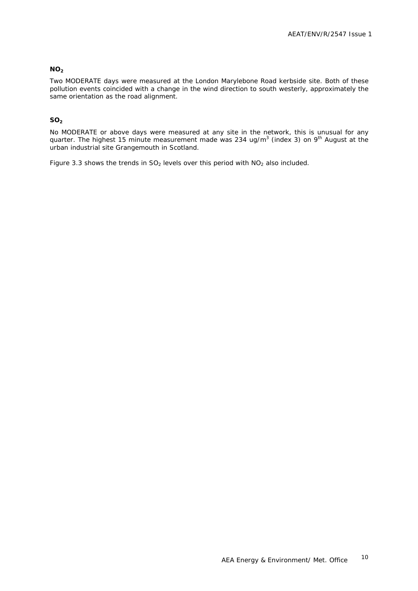#### **NO<sub>2</sub>**

Two MODERATE days were measured at the London Marylebone Road kerbside site. Both of these pollution events coincided with a change in the wind direction to south westerly, approximately the same orientation as the road alignment.

#### **SO2**

No MODERATE or above days were measured at any site in the network, this is unusual for any quarter. The highest 15 minute measurement made was 234 ug/m<sup>3</sup> (index 3) on 9<sup>th</sup> August at the urban industrial site Grangemouth in Scotland.

Figure 3.3 shows the trends in  $SO_2$  levels over this period with  $NO_2$  also included.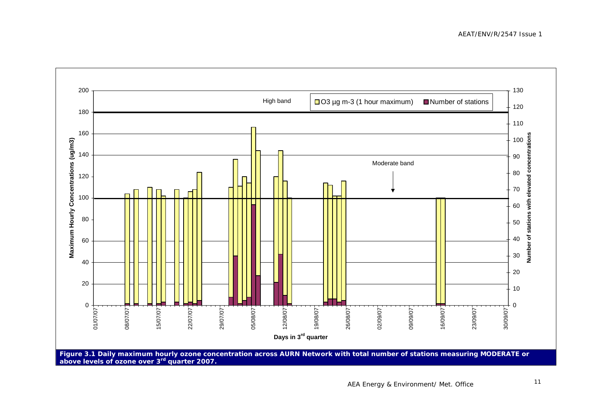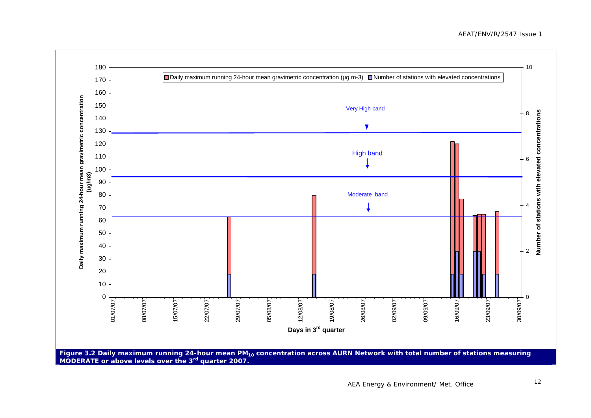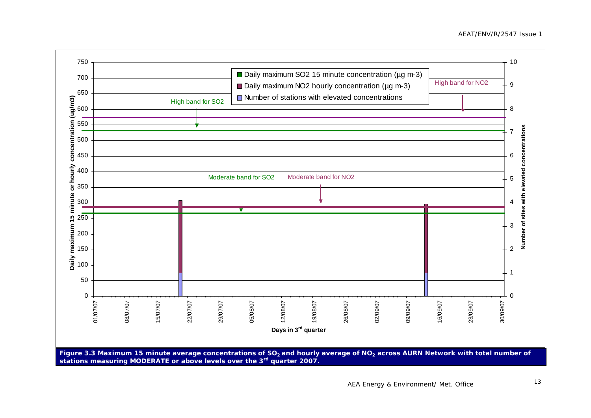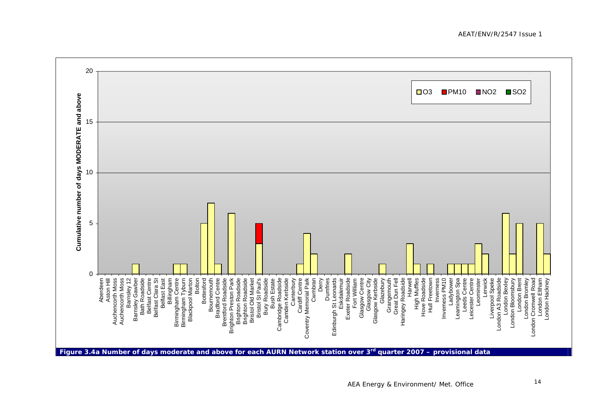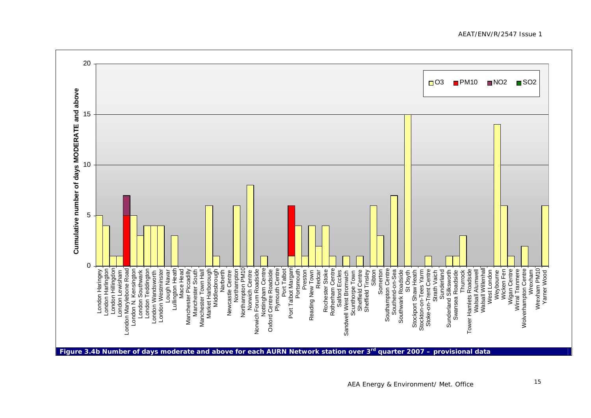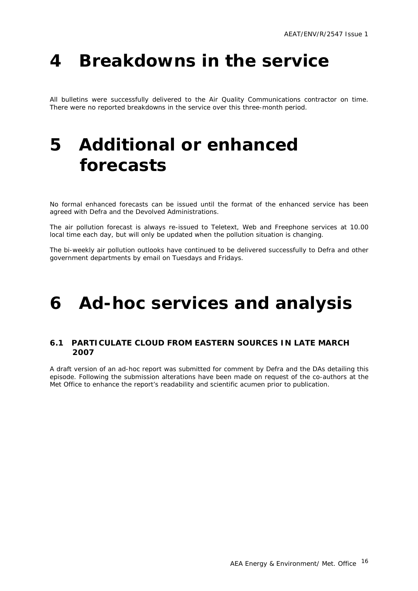## <span id="page-18-0"></span>**4 Breakdowns in the service**

All bulletins were successfully delivered to the Air Quality Communications contractor on time. There were no reported breakdowns in the service over this three-month period.

## **5 Additional or enhanced forecasts**

No formal enhanced forecasts can be issued until the format of the enhanced service has been agreed with Defra and the Devolved Administrations.

The air pollution forecast is always re-issued to Teletext, Web and Freephone services at 10.00 local time each day, but will only be updated when the pollution situation is changing.

The bi-weekly air pollution outlooks have continued to be delivered successfully to Defra and other government departments by email on Tuesdays and Fridays.

## **6 Ad-hoc services and analysis**

#### **6.1 PARTICULATE CLOUD FROM EASTERN SOURCES IN LATE MARCH 2007**

A draft version of an ad-hoc report was submitted for comment by Defra and the DAs detailing this episode. Following the submission alterations have been made on request of the co-authors at the Met Office to enhance the report's readability and scientific acumen prior to publication.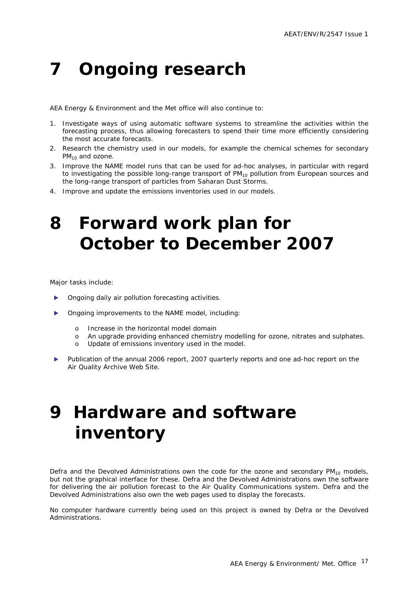## <span id="page-19-0"></span>**7 Ongoing research**

AEA Energy & Environment and the Met office will also continue to:

- 1. Investigate ways of using automatic software systems to streamline the activities within the forecasting process, thus allowing forecasters to spend their time more efficiently considering the most accurate forecasts.
- 2. Research the chemistry used in our models, for example the chemical schemes for secondary  $PM_{10}$  and ozone.
- 3. Improve the NAME model runs that can be used for ad-hoc analyses, in particular with regard to investigating the possible long-range transport of  $PM_{10}$  pollution from European sources and the long-range transport of particles from Saharan Dust Storms.
- 4. Improve and update the emissions inventories used in our models.

## **8 Forward work plan for October to December 2007**

Major tasks include:

- Ongoing daily air pollution forecasting activities.
- Ongoing improvements to the NAME model, including:
	- o Increase in the horizontal model domain
	- o An upgrade providing enhanced chemistry modelling for ozone, nitrates and sulphates.
	- o Update of emissions inventory used in the model.
- Publication of the annual 2006 report, 2007 quarterly reports and one ad-hoc report on the Air Quality Archive Web Site.

## **9 Hardware and software inventory**

Defra and the Devolved Administrations own the code for the ozone and secondary  $PM_{10}$  models, but not the graphical interface for these. Defra and the Devolved Administrations own the software for delivering the air pollution forecast to the Air Quality Communications system. Defra and the Devolved Administrations also own the web pages used to display the forecasts.

No computer hardware currently being used on this project is owned by Defra or the Devolved Administrations.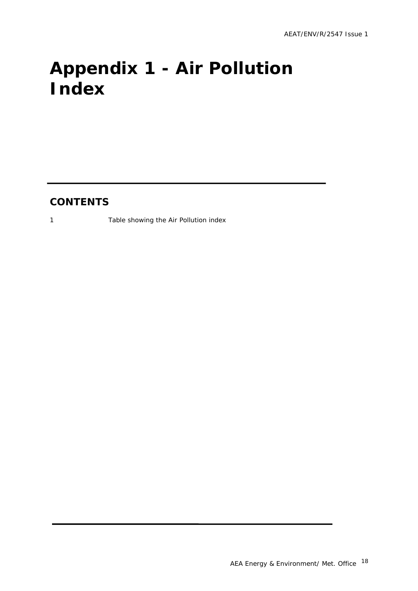# <span id="page-20-0"></span>**Appendix 1 - Air Pollution Index**

### **CONTENTS**

1 Table showing the Air Pollution index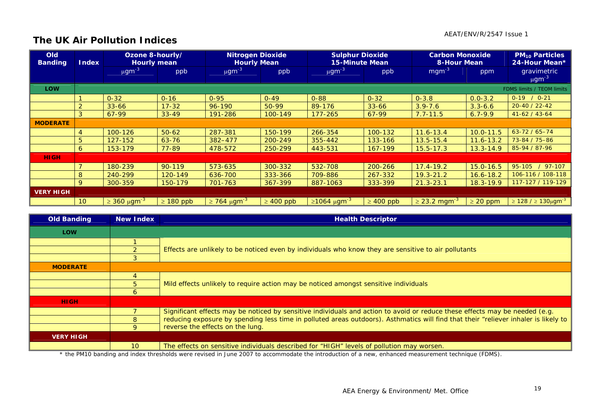#### AEAT/ENV/R/2547 Issue 1

### **The UK Air Pollution Indices**

| <b>Old</b><br><b>Banding</b> | <b>Index</b>    | Ozone 8-hourly/<br><b>Hourly mean</b> |                | <b>Nitrogen Dioxide</b><br><b>Hourly Mean</b> |                | <b>Sulphur Dioxide</b><br><b>15-Minute Mean</b> |                | <b>Carbon Monoxide</b><br><b>8-Hour Mean</b> |               | <b>PM<sub>10</sub> Particles</b><br>24-Hour Mean* |
|------------------------------|-----------------|---------------------------------------|----------------|-----------------------------------------------|----------------|-------------------------------------------------|----------------|----------------------------------------------|---------------|---------------------------------------------------|
|                              |                 | $\mu$ gm <sup>-3</sup>                | ppb            | $\mu$ gm <sup>-3</sup>                        | ppb            | $\mu$ gm <sup>-3</sup>                          | ppb            | $mgm^{-3}$                                   | ppm           | gravimetric<br>$\mu$ gm <sup>-3</sup>             |
| <b>LOW</b>                   |                 |                                       |                |                                               |                |                                                 |                |                                              |               | FDMS limits / TEOM limits                         |
|                              |                 | $0 - 32$                              | $0 - 16$       | $0 - 95$                                      | $0 - 49$       | $0 - 88$                                        | $0 - 32$       | $0 - 3.8$                                    | $0.0 - 3.2$   | $0-19$ / $0-21$                                   |
|                              | ⌒               | $33 - 66$                             | $17 - 32$      | 96-190                                        | 50-99          | 89-176                                          | $33 - 66$      | $3.9 - 7.6$                                  | $3.3 - 6.6$   | $20 - 40 / 22 - 42$                               |
|                              | 3               | 67-99                                 | $33 - 49$      | 191-286                                       | 100-149        | $177 - 265$                                     | 67-99          | $7.7 - 11.5$                                 | $6.7 - 9.9$   | $41-62/43-64$                                     |
| <b>MODERATE</b>              |                 |                                       |                |                                               |                |                                                 |                |                                              |               |                                                   |
|                              |                 | 100-126                               | $50 - 62$      | 287-381                                       | 150-199        | 266-354                                         | 100-132        | $11.6 - 13.4$                                | $10.0 - 11.5$ | $63 - 72 / 65 - 74$                               |
|                              | 5               | 127-152                               | $63 - 76$      | 382-477                                       | 200-249        | 355-442                                         | 133-166        | $13.5 - 15.4$                                | $11.6 - 13.2$ | 73-84 / 75-86                                     |
|                              | 6               | 153-179                               | 77-89          | 478-572                                       | 250-299        | 443-531                                         | 167-199        | $15.5 - 17.3$                                | $13.3 - 14.9$ | 85-94 / 87-96                                     |
| <b>HIGH</b>                  |                 |                                       |                |                                               |                |                                                 |                |                                              |               |                                                   |
|                              |                 | 180-239                               | $90 - 119$     | 573-635                                       | 300-332        | 532-708                                         | 200-266        | $17.4 - 19.2$                                | $15.0 - 16.5$ | 95-105<br>97-107                                  |
|                              | 8               | 240-299                               | 120-149        | 636-700                                       | 333-366        | 709-886                                         | 267-332        | $19.3 - 21.2$                                | $16.6 - 18.2$ | 106-116 / 108-118                                 |
|                              | 9               | 300-359                               | 150-179        | 701-763                                       | 367-399        | 887-1063                                        | 333-399        | $21.3 - 23.1$                                | $18.3 - 19.9$ | 117-127 / 119-129                                 |
| <b>VERY HIGH</b>             |                 |                                       |                |                                               |                |                                                 |                |                                              |               |                                                   |
|                              | 10 <sup>°</sup> | $\geq 360 \ \mu \text{gm}^{-3}$       | $\geq 180$ ppb | $\geq$ 764 μgm <sup>-3</sup>                  | $\geq 400$ ppb | $≥1064 \mu g m-3$                               | $\geq 400$ ppb | $\geq$ 23.2 mgm <sup>-3</sup>                | $\geq$ 20 ppm | $\ge$ 128 / ≥ 130μgm <sup>-3</sup>                |

| <b>Old Banding</b> | New Index | <b>Health Descriptor</b>                                                                                                                                                                                                                                     |  |  |  |  |  |  |
|--------------------|-----------|--------------------------------------------------------------------------------------------------------------------------------------------------------------------------------------------------------------------------------------------------------------|--|--|--|--|--|--|
| <b>LOW</b>         |           |                                                                                                                                                                                                                                                              |  |  |  |  |  |  |
|                    |           |                                                                                                                                                                                                                                                              |  |  |  |  |  |  |
|                    |           | Effects are unlikely to be noticed even by individuals who know they are sensitive to air pollutants                                                                                                                                                         |  |  |  |  |  |  |
|                    |           |                                                                                                                                                                                                                                                              |  |  |  |  |  |  |
| <b>MODERATE</b>    |           |                                                                                                                                                                                                                                                              |  |  |  |  |  |  |
|                    |           |                                                                                                                                                                                                                                                              |  |  |  |  |  |  |
|                    |           | Mild effects unlikely to require action may be noticed amongst sensitive individuals                                                                                                                                                                         |  |  |  |  |  |  |
|                    |           |                                                                                                                                                                                                                                                              |  |  |  |  |  |  |
| <b>HIGH</b>        |           |                                                                                                                                                                                                                                                              |  |  |  |  |  |  |
|                    |           | Significant effects may be noticed by sensitive individuals and action to avoid or reduce these effects may be needed (e.g.                                                                                                                                  |  |  |  |  |  |  |
|                    |           | reducing exposure by spending less time in polluted areas outdoors). Asthmatics will find that their "reliever inhaler is likely to                                                                                                                          |  |  |  |  |  |  |
|                    | O         | reverse the effects on the lung.                                                                                                                                                                                                                             |  |  |  |  |  |  |
| <b>VERY HIGH</b>   |           |                                                                                                                                                                                                                                                              |  |  |  |  |  |  |
|                    | 10        | The effects on sensitive individuals described for "HIGH" levels of pollution may worsen.<br>♦ 11. • DM4A best distributional state and state of the basic AAA are secured as the basic distribution of exceptional accounts and accounts to the form (FDMA) |  |  |  |  |  |  |

\* the PM10 banding and index thresholds were revised in June 2007 to accommodate the introduction of a new, enhanced measurement technique (FDMS).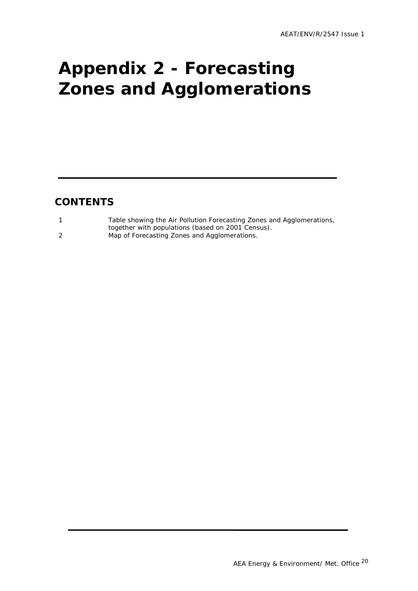# <span id="page-22-0"></span>**Appendix 2 - Forecasting Zones and Agglomerations**

### **CONTENTS**

| Table showing the Air Pollution Forecasting Zones and Agglomerations, |
|-----------------------------------------------------------------------|
| together with populations (based on 2001 Census).                     |
| Map of Forecasting Zones and Agglomerations.                          |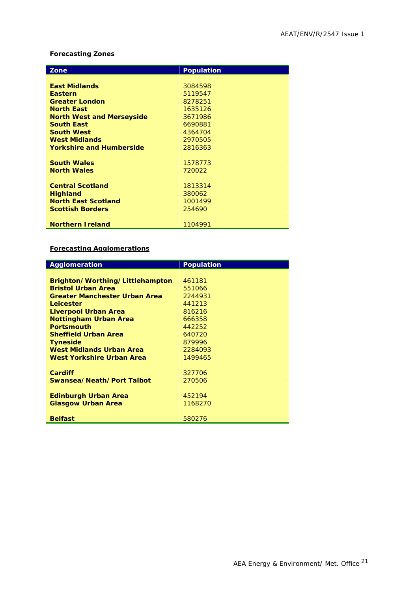#### **Forecasting Zones**

| Zone                             | <b>Population</b> |
|----------------------------------|-------------------|
|                                  |                   |
| <b>East Midlands</b>             | 3084598           |
| <b>Eastern</b>                   | 5119547           |
| <b>Greater London</b>            | 8278251           |
| <b>North East</b>                | 1635126           |
| <b>North West and Merseyside</b> | 3671986           |
| <b>South East</b>                | 6690881           |
| <b>South West</b>                | 4364704           |
| <b>West Midlands</b>             | 2970505           |
| <b>Yorkshire and Humberside</b>  | 2816363           |
|                                  |                   |
| <b>South Wales</b>               | 1578773           |
| <b>North Wales</b>               | 720022            |
|                                  |                   |
| <b>Central Scotland</b>          | 1813314           |
| <b>Highland</b>                  | 380062            |
| <b>North East Scotland</b>       | 1001499           |
| <b>Scottish Borders</b>          | 254690            |
|                                  |                   |
| <b>Northern Ireland</b>          | 1104991           |

#### **Forecasting Agglomerations**

| Agglomeration                        | <b>Population</b> |
|--------------------------------------|-------------------|
|                                      |                   |
| Brighton/Worthing/Littlehampton      | 461181            |
| <b>Bristol Urban Area</b>            | 551066            |
| <b>Greater Manchester Urban Area</b> | 2244931           |
| Leicester                            | 441213            |
| Liverpool Urban Area                 | 816216            |
| <b>Nottingham Urban Area</b>         | 666358            |
| <b>Portsmouth</b>                    | 442252            |
| <b>Sheffield Urban Area</b>          | 640720            |
| <b>Tyneside</b>                      | 879996            |
| West Midlands Urban Area             | 2284093           |
| West Yorkshire Urban Area            | 1499465           |
|                                      |                   |
| <b>Cardiff</b>                       | 327706            |
| Swansea/Neath/Port Talbot            | 270506            |
|                                      |                   |
| <b>Edinburgh Urban Area</b>          | 452194            |
| <b>Glasgow Urban Area</b>            | 1168270           |
|                                      |                   |
| <b>Belfast</b>                       | 580276            |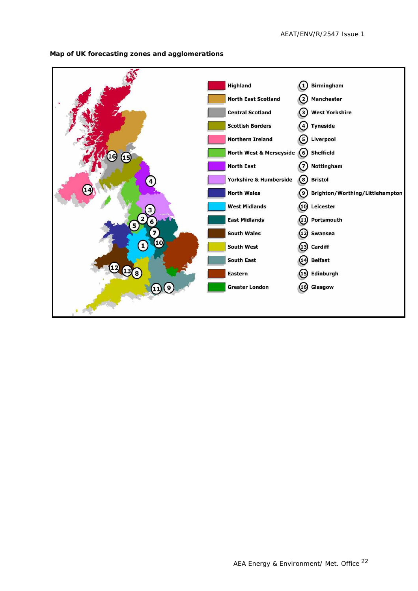

**Map of UK forecasting zones and agglomerations**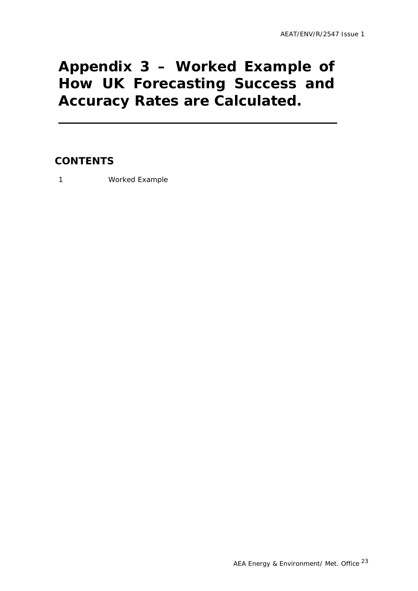### <span id="page-25-0"></span>**Appendix 3 – Worked Example of How UK Forecasting Success and Accuracy Rates are Calculated.**

### **CONTENTS**

1 Worked Example